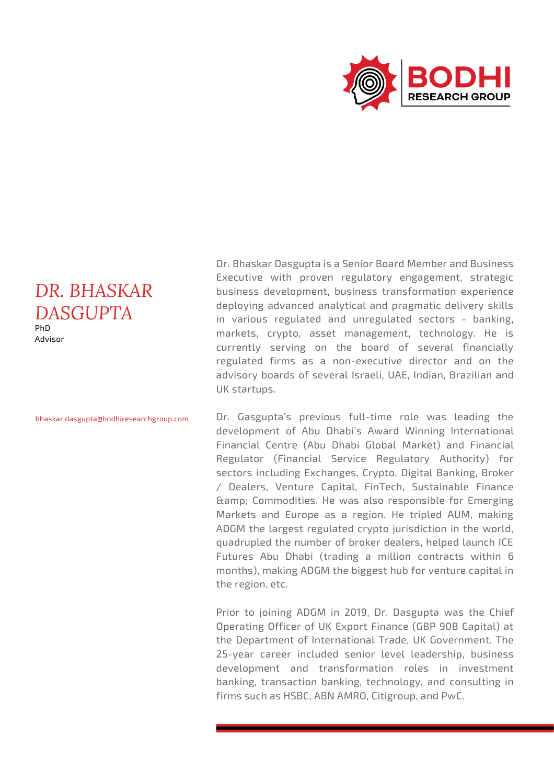

## *DR. BHASKAR DASGUPTA*

PhD Advisor

bhaskar.dasgupta@bodhiresearchgroup.com

Dr. Bhaskar Dasgupta is a Senior Board Member and Business Executive with proven regulatory engagement, strategic business development, business transformation experience deploying advanced analytical and pragmatic delivery skills in various regulated and unregulated sectors - banking, markets, crypto, asset management, technology. He is currently serving on the board of several financially regulated firms as a non-executive director and on the advisory boards of several Israeli, UAE, Indian, Brazilian and UK startups.

Dr. Gasgupta's previous full-time role was leading the development of Abu Dhabi's Award Winning International Financial Centre (Abu Dhabi Global Market) and Financial Regulator (Financial Service Regulatory Authority) for sectors including Exchanges, Crypto, Digital Banking, Broker / Dealers, Venture Capital, FinTech, Sustainable Finance & Commodities. He was also responsible for Emerging Markets and Europe as a region. He tripled AUM, making ADGM the largest regulated crypto jurisdiction in the world, quadrupled the number of broker dealers, helped launch ICE Futures Abu Dhabi (trading a million contracts within 6 months), making ADGM the biggest hub for venture capital in the region, etc.

Prior to joining ADGM in 2019, Dr. Dasgupta was the Chief Operating Officer of UK Export Finance (GBP 90B Capital) at the Department of International Trade, UK Government. The 25-year career included senior level leadership, business development and transformation roles in investment banking, transaction banking, technology, and consulting in firms such as HSBC, ABN AMRO, Citigroup, and PwC.